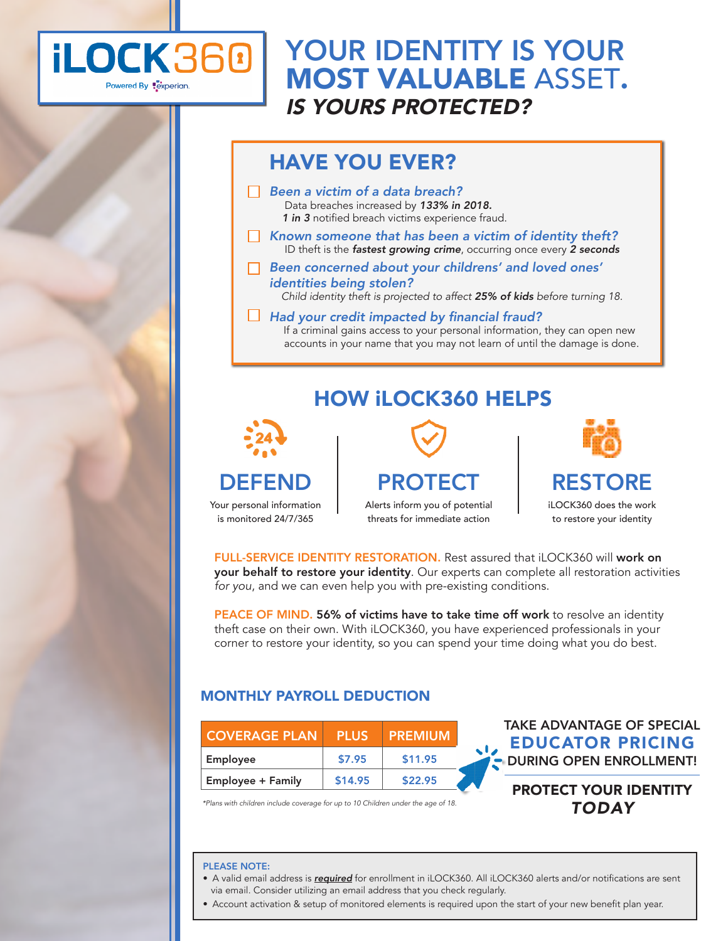

## YOUR IDENTITY IS YOUR MOST VALUABLE ASSET. *IS YOURS PROTECTED?*

## HAVE YOU EVER?

- *Been a victim of a data breach?* Data breaches increased by *133% in 2018. 1 in 3* notified breach victims experience fraud.
- *Known someone that has been a victim of identity theft?* ID theft is the *fastest growing crime*, occurring once every *2 seconds*
- Been concerned about your childrens*'* and loved ones' *identities* being stolen?

 *Child identity theft is projected to affect 25% of kids before turning 18.*

 $\Box$  Had your credit impacted by financial fraud? If a criminal gains access to your personal information, they can open new accounts in your name that you may not learn of until the damage is done.

## HOW iLOCK360 HELPS



Your personal information is monitored 24/7/365

PROTECT

Alerts inform you of potential threats for immediate action



iLOCK360 does the work to restore your identity

FULL-SERVICE IDENTITY RESTORATION. Rest assured that iLOCK360 will work on your behalf to restore your identity. Our experts can complete all restoration activities *for you*, and we can even help you with pre-existing conditions.

PEACE OF MIND. 56% of victims have to take time off work to resolve an identity theft case on their own. With iLOCK360, you have experienced professionals in your corner to restore your identity, so you can spend your time doing what you do best.

### MONTHLY PAYROLL DEDUCTION

| <b>COVERAGE PLAN</b>     | <b>PLUS</b> | <b>PREMIUM</b> |  |
|--------------------------|-------------|----------------|--|
| Employee                 | \$7.95      | \$11.95        |  |
| <b>Employee + Family</b> | \$14.95     | \$22.95        |  |

TAKE ADVANTAGE OF SPECIAL EDUCATOR PRICING **DURING OPEN ENROLLMENT!** 

### PROTECT YOUR IDENTITY *TODAY*

*\*Plans with children include coverage for up to 10 Children under the age of 18.* 

#### PLEASE NOTE:

- A valid email address is *required* for enrollment in iLOCK360. All iLOCK360 alerts and/or notifications are sent via email. Consider utilizing an email address that you check regularly.
- Account activation & setup of monitored elements is required upon the start of your new benefit plan year.